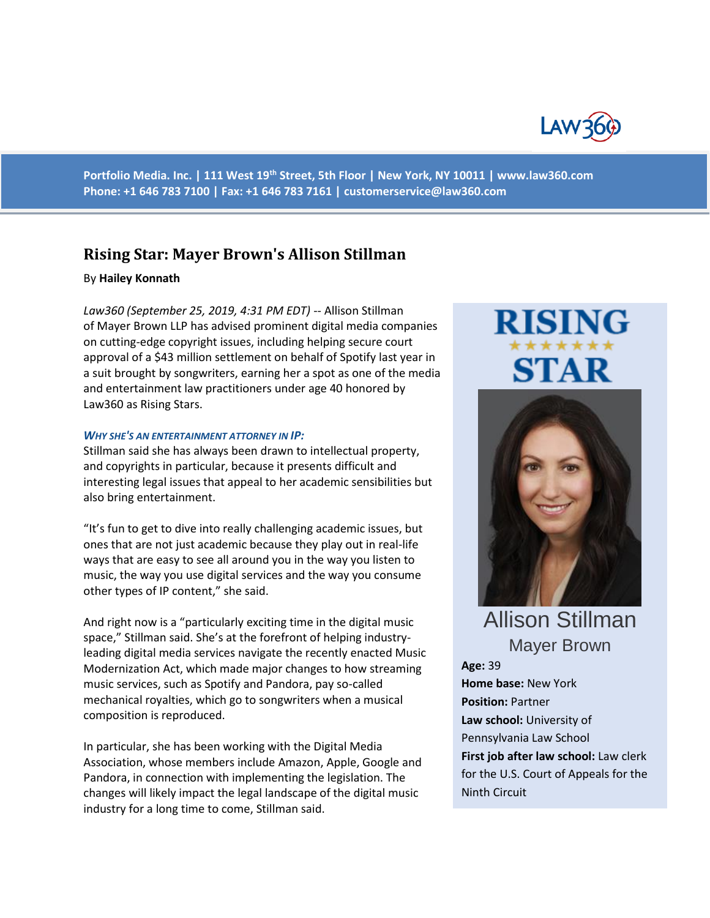

**Portfolio Media. Inc. | 111 West 19th Street, 5th Floor | New York, NY 10011 | www.law360.com Phone: +1 646 783 7100 | Fax: +1 646 783 7161 | [customerservice@law360.com](mailto:customerservice@law360.com)**

## **Rising Star: Mayer Brown's Allison Stillman**

### By **Hailey Konnath**

*Law360 (September 25, 2019, 4:31 PM EDT)* -- Allison Stillman of Mayer Brown LLP has advised prominent digital media companies on cutting-edge copyright issues, including helping secure court approval of a \$43 million settlement on behalf of Spotify last year in a suit brought by songwriters, earning her a spot as one of the media and entertainment law practitioners under age 40 honored by Law360 as Rising Stars.

#### *WHY SHE'S AN ENTERTAINMENT ATTORNEY IN IP:*

Stillman said she has always been drawn to intellectual property, and copyrights in particular, because it presents difficult and interesting legal issues that appeal to her academic sensibilities but also bring entertainment.

"It's fun to get to dive into really challenging academic issues, but ones that are not just academic because they play out in real-life ways that are easy to see all around you in the way you listen to music, the way you use digital services and the way you consume other types of IP content," she said.

And right now is a "particularly exciting time in the digital music space," Stillman said. She's at the forefront of helping industryleading digital media services navigate the recently enacted Music Modernization Act, which made major changes to how streaming music services, such as Spotify and Pandora, pay so-called mechanical royalties, which go to songwriters when a musical composition is reproduced.

In particular, she has been working with the Digital Media Association, whose members include Amazon, Apple, Google and Pandora, in connection with implementing the legislation. The changes will likely impact the legal landscape of the digital music industry for a long time to come, Stillman said.

# **RISIN** STAR



Allison Stillman Mayer Brown

**Age:** 39 **Home base:** New York **Position:** Partner **Law school:** University of Pennsylvania Law School **First job after law school:** Law clerk for the U.S. Court of Appeals for the Ninth Circuit